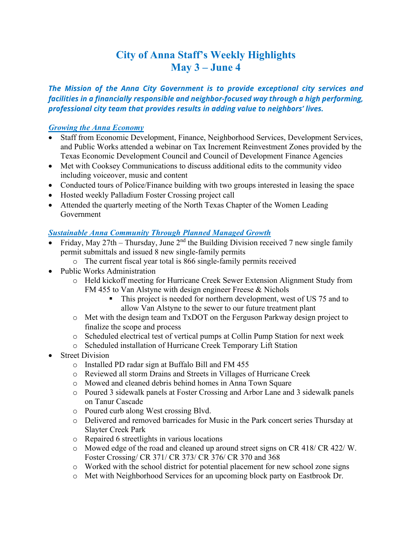# **City of Anna Staff's Weekly Highlights May 3 – June 4**

## *The Mission of the Anna City Government is to provide exceptional city services and facilities in a financially responsible and neighbor-focused way through a high performing, professional city team that provides results in adding value to neighbors' lives.*

#### *Growing the Anna Economy*

- Staff from Economic Development, Finance, Neighborhood Services, Development Services, and Public Works attended a webinar on Tax Increment Reinvestment Zones provided by the Texas Economic Development Council and Council of Development Finance Agencies
- Met with Cooksey Communications to discuss additional edits to the community video including voiceover, music and content
- Conducted tours of Police/Finance building with two groups interested in leasing the space
- Hosted weekly Palladium Foster Crossing project call
- Attended the quarterly meeting of the North Texas Chapter of the Women Leading Government

#### *Sustainable Anna Community Through Planned Managed Growth*

- Friday, May 27th Thursday, June  $2^{nd}$  the Building Division received 7 new single family permit submittals and issued 8 new single-family permits
	- o The current fiscal year total is 866 single-family permits received
- Public Works Administration
	- o Held kickoff meeting for Hurricane Creek Sewer Extension Alignment Study from FM 455 to Van Alstyne with design engineer Freese & Nichols
		- This project is needed for northern development, west of US 75 and to allow Van Alstyne to the sewer to our future treatment plant
	- o Met with the design team and TxDOT on the Ferguson Parkway design project to finalize the scope and process
	- o Scheduled electrical test of vertical pumps at Collin Pump Station for next week
	- o Scheduled installation of Hurricane Creek Temporary Lift Station
- **Street Division** 
	- o Installed PD radar sign at Buffalo Bill and FM 455
	- o Reviewed all storm Drains and Streets in Villages of Hurricane Creek
	- o Mowed and cleaned debris behind homes in Anna Town Square
	- o Poured 3 sidewalk panels at Foster Crossing and Arbor Lane and 3 sidewalk panels on Tanur Cascade
	- o Poured curb along West crossing Blvd.
	- o Delivered and removed barricades for Music in the Park concert series Thursday at Slayter Creek Park
	- o Repaired 6 streetlights in various locations
	- o Mowed edge of the road and cleaned up around street signs on CR 418/ CR 422/ W. Foster Crossing/ CR 371/ CR 373/ CR 376/ CR 370 and 368
	- o Worked with the school district for potential placement for new school zone signs
	- o Met with Neighborhood Services for an upcoming block party on Eastbrook Dr.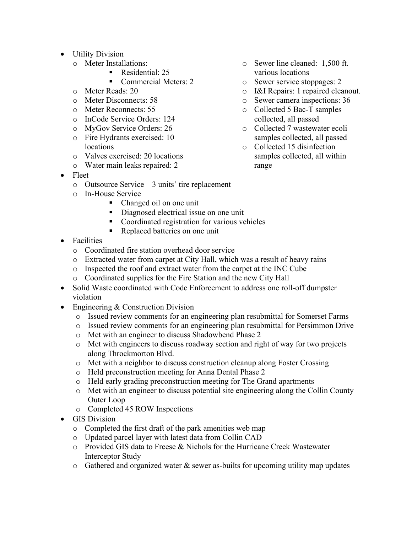- Utility Division
	- o Meter Installations:
		- **Residential: 25**
		- Commercial Meters: 2
	- o Meter Reads: 20
	- o Meter Disconnects: 58
	- o Meter Reconnects: 55
	- o InCode Service Orders: 124
	- o MyGov Service Orders: 26
	- o Fire Hydrants exercised: 10 locations
	- o Valves exercised: 20 locations
	- o Water main leaks repaired: 2
- Fleet
	- o Outsource Service 3 units' tire replacement
	- o In-House Service
		- Changed oil on one unit
		- Diagnosed electrical issue on one unit
		- **Coordinated registration for various vehicles**
		- Replaced batteries on one unit
- Facilities
	- o Coordinated fire station overhead door service
	- o Extracted water from carpet at City Hall, which was a result of heavy rains
	- o Inspected the roof and extract water from the carpet at the INC Cube
	- o Coordinated supplies for the Fire Station and the new City Hall
- Solid Waste coordinated with Code Enforcement to address one roll-off dumpster violation
- Engineering & Construction Division
	- o Issued review comments for an engineering plan resubmittal for Somerset Farms
	- o Issued review comments for an engineering plan resubmittal for Persimmon Drive
	- o Met with an engineer to discuss Shadowbend Phase 2
	- o Met with engineers to discuss roadway section and right of way for two projects along Throckmorton Blvd.
	- o Met with a neighbor to discuss construction cleanup along Foster Crossing
	- o Held preconstruction meeting for Anna Dental Phase 2
	- o Held early grading preconstruction meeting for The Grand apartments
	- o Met with an engineer to discuss potential site engineering along the Collin County Outer Loop
	- o Completed 45 ROW Inspections
- GIS Division
	- o Completed the first draft of the park amenities web map
	- o Updated parcel layer with latest data from Collin CAD
	- o Provided GIS data to Freese & Nichols for the Hurricane Creek Wastewater Interceptor Study
	- $\circ$  Gathered and organized water & sewer as-builts for upcoming utility map updates
- o Sewer line cleaned: 1,500 ft. various locations
- o Sewer service stoppages: 2
- o I&I Repairs: 1 repaired cleanout.
- o Sewer camera inspections: 36
- o Collected 5 Bac-T samples collected, all passed
- o Collected 7 wastewater ecoli samples collected, all passed
- o Collected 15 disinfection samples collected, all within range